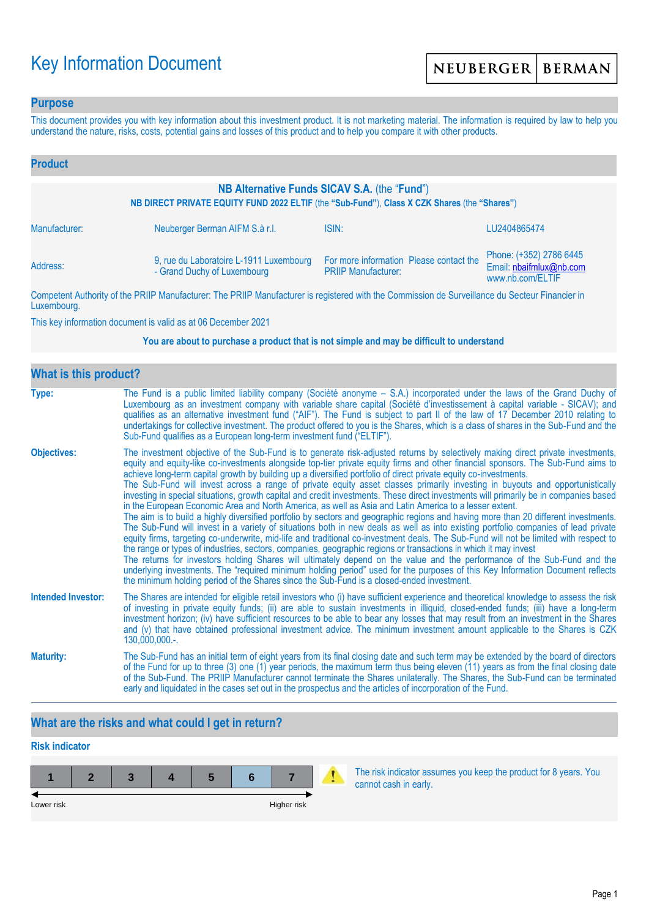# Key Information Document

### **Purpose**

This document provides you with key information about this investment product. It is not marketing material. The information is required by law to help you understand the nature, risks, costs, potential gains and losses of this product and to help you compare it with other products.

| <b>Product</b>                                                                                                                               |                                                                        |                                                                                                                                                                                                                                      |                                                                        |  |
|----------------------------------------------------------------------------------------------------------------------------------------------|------------------------------------------------------------------------|--------------------------------------------------------------------------------------------------------------------------------------------------------------------------------------------------------------------------------------|------------------------------------------------------------------------|--|
| NB Alternative Funds SICAV S.A. (the "Fund")<br>NB DIRECT PRIVATE EQUITY FUND 2022 ELTIF (the "Sub-Fund"), Class X CZK Shares (the "Shares") |                                                                        |                                                                                                                                                                                                                                      |                                                                        |  |
| Manufacturer:                                                                                                                                | Neuberger Berman AIFM S.à r.l.                                         | ISIN:                                                                                                                                                                                                                                | LU2404865474                                                           |  |
| Address:                                                                                                                                     | 9, rue du Laboratoire L-1911 Luxembourg<br>- Grand Duchy of Luxembourg | For more information Please contact the<br><b>PRIIP Manufacturer:</b>                                                                                                                                                                | Phone: (+352) 2786 6445<br>Email: nbaifmlux@nb.com<br>www.nb.com/ELTIF |  |
|                                                                                                                                              |                                                                        | <b>THE BRUSH AND AND AND ACCOUNT AND ACCOUNT AND ACCOUNT AND ACCOUNT AND ACCOUNT ACCOUNT AND ACCOUNT ACCOUNT ACCOUNT ACCOUNT ACCOUNT ACCOUNT ACCOUNT ACCOUNT ACCOUNT ACCOUNT ACCOUNT ACCOUNT ACCOUNT ACCOUNT ACCOUNT ACCOUNT ACC</b> |                                                                        |  |

Competent Authority of the PRIIP Manufacturer: The PRIIP Manufacturer is registered with the Commission de Surveillance du Secteur Financier in Luxembourg.

This key information document is valid as at 06 December 2021

#### **You are about to purchase a product that is not simple and may be difficult to understand**

| What is this product?     |                                                                                                                                                                                                                                                                                                                                                                                                                                                                                                                                                                                                                                                                                                                                                                                                                                                                                                                                                                                                                                                                                                                                                                                                                                                                                                                                                                                                                                                                                                                                                                                                                                                                               |  |  |  |
|---------------------------|-------------------------------------------------------------------------------------------------------------------------------------------------------------------------------------------------------------------------------------------------------------------------------------------------------------------------------------------------------------------------------------------------------------------------------------------------------------------------------------------------------------------------------------------------------------------------------------------------------------------------------------------------------------------------------------------------------------------------------------------------------------------------------------------------------------------------------------------------------------------------------------------------------------------------------------------------------------------------------------------------------------------------------------------------------------------------------------------------------------------------------------------------------------------------------------------------------------------------------------------------------------------------------------------------------------------------------------------------------------------------------------------------------------------------------------------------------------------------------------------------------------------------------------------------------------------------------------------------------------------------------------------------------------------------------|--|--|--|
| Type:                     | The Fund is a public limited liability company (Société anonyme – S.A.) incorporated under the laws of the Grand Duchy of<br>Luxembourg as an investment company with variable share capital (Société d'investissement à capital variable - SICAV); and<br>qualifies as an alternative investment fund ("AIF"). The Fund is subject to part II of the law of 17 December 2010 relating to<br>undertakings for collective investment. The product offered to you is the Shares, which is a class of shares in the Sub-Fund and the<br>Sub-Fund qualifies as a European long-term investment fund ("ELTIF").                                                                                                                                                                                                                                                                                                                                                                                                                                                                                                                                                                                                                                                                                                                                                                                                                                                                                                                                                                                                                                                                    |  |  |  |
| <b>Objectives:</b>        | The investment objective of the Sub-Fund is to generate risk-adjusted returns by selectively making direct private investments,<br>equity and equity-like co-investments alongside top-tier private equity firms and other financial sponsors. The Sub-Fund aims to<br>achieve long-term capital growth by building up a diversified portfolio of direct private equity co-investments.<br>The Sub-Fund will invest across a range of private equity asset classes primarily investing in buyouts and opportunistically<br>investing in special situations, growth capital and credit investments. These direct investments will primarily be in companies based<br>in the European Economic Area and North America, as well as Asia and Latin America to a lesser extent.<br>The aim is to build a highly diversified portfolio by sectors and geographic regions and having more than 20 different investments.<br>The Sub-Fund will invest in a variety of situations both in new deals as well as into existing portfolio companies of lead private<br>equity firms, targeting co-underwrite, mid-life and traditional co-investment deals. The Sub-Fund will not be limited with respect to<br>the range or types of industries, sectors, companies, geographic regions or transactions in which it may invest<br>The returns for investors holding Shares will ultimately depend on the value and the performance of the Sub-Fund and the<br>underlying investments. The "required minimum holding period" used for the purposes of this Key Information Document reflects<br>the minimum holding period of the Shares since the Sub-Fund is a closed-ended investment. |  |  |  |
| <b>Intended Investor:</b> | The Shares are intended for eligible retail investors who (i) have sufficient experience and theoretical knowledge to assess the risk<br>of investing in private equity funds; (ii) are able to sustain investments in illiquid, closed-ended funds; (iii) have a long-term<br>investment horizon; (iv) have sufficient resources to be able to bear any losses that may result from an investment in the Shares<br>and (v) that have obtained professional investment advice. The minimum investment amount applicable to the Shares is CZK<br>$130,000,000.$ -.                                                                                                                                                                                                                                                                                                                                                                                                                                                                                                                                                                                                                                                                                                                                                                                                                                                                                                                                                                                                                                                                                                             |  |  |  |
| <b>Maturity:</b>          | The Sub-Fund has an initial term of eight years from its final closing date and such term may be extended by the board of directors<br>of the Fund for up to three (3) one (1) year periods, the maximum term thus being eleven (11) years as from the final closing date<br>of the Sub-Fund. The PRIIP Manufacturer cannot terminate the Shares unilaterally. The Shares, the Sub-Fund can be terminated<br>early and liquidated in the cases set out in the prospectus and the articles of incorporation of the Fund.                                                                                                                                                                                                                                                                                                                                                                                                                                                                                                                                                                                                                                                                                                                                                                                                                                                                                                                                                                                                                                                                                                                                                       |  |  |  |

## **What are the risks and what could I get in return?**

# **Risk indicator 1 2 3 4 5 6 7** Lower risk **Higher risk** Higher risk **Higher risk**

The risk indicator assumes you keep the product for 8 years. You cannot cash in early.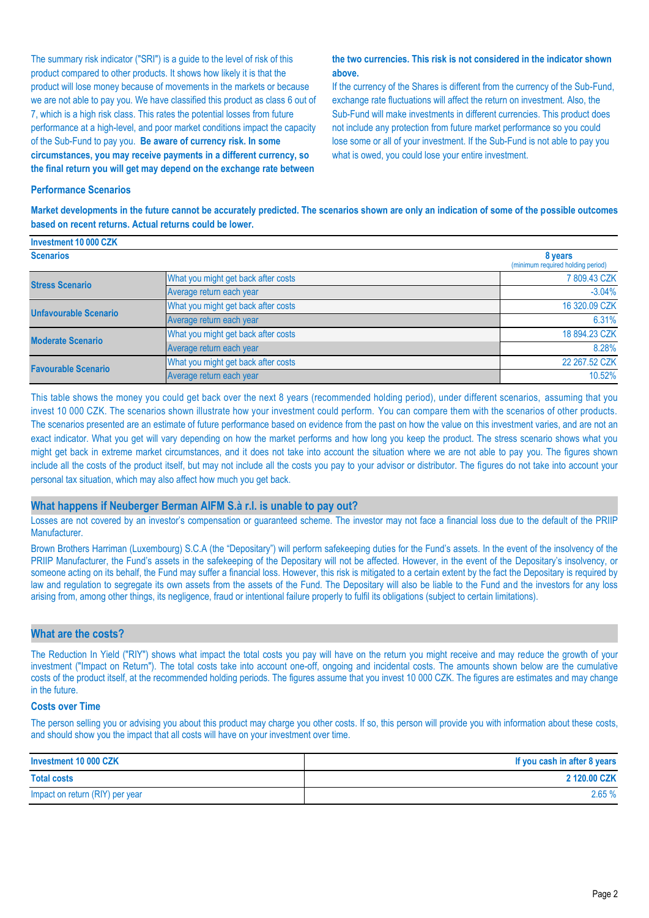The summary risk indicator ("SRI") is a guide to the level of risk of this product compared to other products. It shows how likely it is that the product will lose money because of movements in the markets or because we are not able to pay you. We have classified this product as class 6 out of 7, which is a high risk class. This rates the potential losses from future performance at a high-level, and poor market conditions impact the capacity of the Sub-Fund to pay you. **Be aware of currency risk. In some circumstances, you may receive payments in a different currency, so the final return you will get may depend on the exchange rate between** 

#### **the two currencies. This risk is not considered in the indicator shown above.**

If the currency of the Shares is different from the currency of the Sub-Fund, exchange rate fluctuations will affect the return on investment. Also, the Sub-Fund will make investments in different currencies. This product does not include any protection from future market performance so you could lose some or all of your investment. If the Sub-Fund is not able to pay you what is owed, you could lose your entire investment.

#### **Performance Scenarios**

**Investment 10 000 CZK**

**Market developments in the future cannot be accurately predicted. The scenarios shown are only an indication of some of the possible outcomes based on recent returns. Actual returns could be lower.**

| <b>INVESUMENT IV UVU UZN</b> |                                     |                                              |  |
|------------------------------|-------------------------------------|----------------------------------------------|--|
| <b>Scenarios</b>             |                                     | 8 years<br>(minimum required holding period) |  |
| <b>Stress Scenario</b>       | What you might get back after costs | 7809.43 CZK                                  |  |
|                              | Average return each year            | $-3.04%$                                     |  |
| <b>Unfavourable Scenario</b> | What you might get back after costs | 16 320.09 CZK                                |  |
|                              | Average return each year            | 6.31%                                        |  |
| <b>Moderate Scenario</b>     | What you might get back after costs | 18 894.23 CZK                                |  |
|                              | Average return each year            | 8.28%                                        |  |
| <b>Favourable Scenario</b>   | What you might get back after costs | 22 267.52 CZK                                |  |
|                              | Average return each year            | 10.52%                                       |  |

This table shows the money you could get back over the next 8 years (recommended holding period), under different scenarios, assuming that you invest 10 000 CZK. The scenarios shown illustrate how your investment could perform. You can compare them with the scenarios of other products. The scenarios presented are an estimate of future performance based on evidence from the past on how the value on this investment varies, and are not an exact indicator. What you get will vary depending on how the market performs and how long you keep the product. The stress scenario shows what you might get back in extreme market circumstances, and it does not take into account the situation where we are not able to pay you. The figures shown include all the costs of the product itself, but may not include all the costs you pay to your advisor or distributor. The figures do not take into account your personal tax situation, which may also affect how much you get back.

#### **What happens if Neuberger Berman AIFM S.à r.l. is unable to pay out?**

Losses are not covered by an investor's compensation or guaranteed scheme. The investor may not face a financial loss due to the default of the PRIIP Manufacturer.

Brown Brothers Harriman (Luxembourg) S.C.A (the "Depositary") will perform safekeeping duties for the Fund's assets. In the event of the insolvency of the PRIIP Manufacturer, the Fund's assets in the safekeeping of the Depositary will not be affected. However, in the event of the Depositary's insolvency, or someone acting on its behalf, the Fund may suffer a financial loss. However, this risk is mitigated to a certain extent by the fact the Depositary is required by law and regulation to segregate its own assets from the assets of the Fund. The Depositary will also be liable to the Fund and the investors for any loss arising from, among other things, its negligence, fraud or intentional failure properly to fulfil its obligations (subject to certain limitations).

#### **What are the costs?**

The Reduction In Yield ("RIY") shows what impact the total costs you pay will have on the return you might receive and may reduce the growth of your investment ("Impact on Return"). The total costs take into account one-off, ongoing and incidental costs. The amounts shown below are the cumulative costs of the product itself, at the recommended holding periods. The figures assume that you invest 10 000 CZK. The figures are estimates and may change in the future.

#### **Costs over Time**

The person selling you or advising you about this product may charge you other costs. If so, this person will provide you with information about these costs, and should show you the impact that all costs will have on your investment over time.

| Investment 10 000 CZK           | If you cash in after 8 years |
|---------------------------------|------------------------------|
| <b>Total costs</b>              | 2 120.00 CZK                 |
| Impact on return (RIY) per year | 2.65%                        |